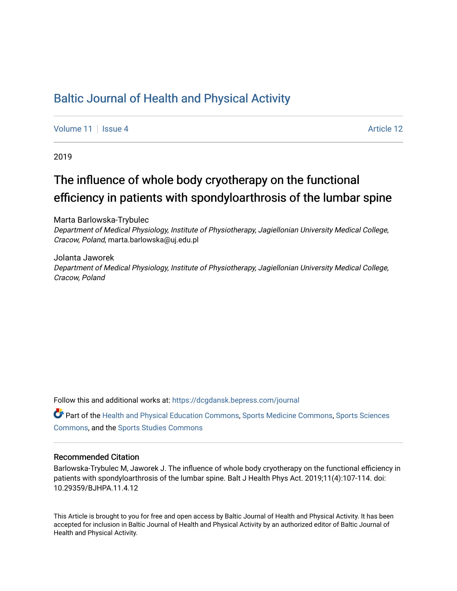# [Baltic Journal of Health and Physical Activity](https://dcgdansk.bepress.com/journal)

[Volume 11](https://dcgdansk.bepress.com/journal/vol11) | [Issue 4](https://dcgdansk.bepress.com/journal/vol11/iss4) Article 12

2019

# The influence of whole body cryotherapy on the functional efficiency in patients with spondyloarthrosis of the lumbar spine

Marta Barlowska-Trybulec Department of Medical Physiology, Institute of Physiotherapy, Jagiellonian University Medical College, Cracow, Poland, marta.barlowska@uj.edu.pl

Jolanta Jaworek Department of Medical Physiology, Institute of Physiotherapy, Jagiellonian University Medical College, Cracow, Poland

Follow this and additional works at: [https://dcgdansk.bepress.com/journal](https://dcgdansk.bepress.com/journal?utm_source=dcgdansk.bepress.com%2Fjournal%2Fvol11%2Fiss4%2F12&utm_medium=PDF&utm_campaign=PDFCoverPages)

Part of the [Health and Physical Education Commons](http://network.bepress.com/hgg/discipline/1327?utm_source=dcgdansk.bepress.com%2Fjournal%2Fvol11%2Fiss4%2F12&utm_medium=PDF&utm_campaign=PDFCoverPages), [Sports Medicine Commons,](http://network.bepress.com/hgg/discipline/1331?utm_source=dcgdansk.bepress.com%2Fjournal%2Fvol11%2Fiss4%2F12&utm_medium=PDF&utm_campaign=PDFCoverPages) [Sports Sciences](http://network.bepress.com/hgg/discipline/759?utm_source=dcgdansk.bepress.com%2Fjournal%2Fvol11%2Fiss4%2F12&utm_medium=PDF&utm_campaign=PDFCoverPages) [Commons](http://network.bepress.com/hgg/discipline/759?utm_source=dcgdansk.bepress.com%2Fjournal%2Fvol11%2Fiss4%2F12&utm_medium=PDF&utm_campaign=PDFCoverPages), and the [Sports Studies Commons](http://network.bepress.com/hgg/discipline/1198?utm_source=dcgdansk.bepress.com%2Fjournal%2Fvol11%2Fiss4%2F12&utm_medium=PDF&utm_campaign=PDFCoverPages) 

#### Recommended Citation

Barlowska-Trybulec M, Jaworek J. The influence of whole body cryotherapy on the functional efficiency in patients with spondyloarthrosis of the lumbar spine. Balt J Health Phys Act. 2019;11(4):107-114. doi: 10.29359/BJHPA.11.4.12

This Article is brought to you for free and open access by Baltic Journal of Health and Physical Activity. It has been accepted for inclusion in Baltic Journal of Health and Physical Activity by an authorized editor of Baltic Journal of Health and Physical Activity.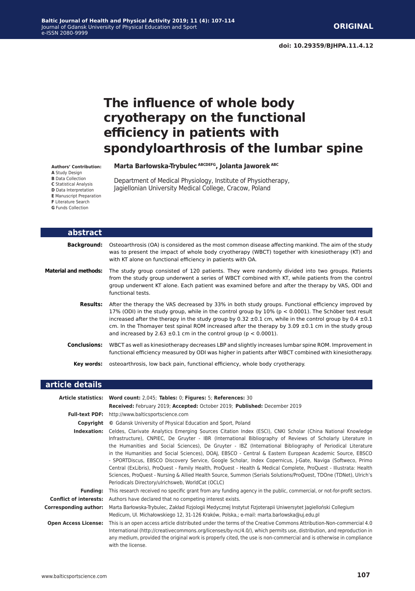# **The influence of whole body cryotherapy on the functional efficiency in patients with spondyloarthrosis of the lumbar spine**

**Marta Barłowska-Trybulec ABCDEFG, Jolanta Jaworek ABC**

Department of Medical Physiology, Institute of Physiotherapy, Jagiellonian University Medical College, Cracow, Poland

| abstract                     |                                                                                                                                                                                                                                                                                                                                                                                                                                                                                                                         |
|------------------------------|-------------------------------------------------------------------------------------------------------------------------------------------------------------------------------------------------------------------------------------------------------------------------------------------------------------------------------------------------------------------------------------------------------------------------------------------------------------------------------------------------------------------------|
| Background:                  | Osteoarthrosis (OA) is considered as the most common disease affecting mankind. The aim of the study<br>was to present the impact of whole body cryotherapy (WBCT) together with kinesiotherapy (KT) and<br>with KT alone on functional efficiency in patients with OA.                                                                                                                                                                                                                                                 |
| <b>Material and methods:</b> | The study group consisted of 120 patients. They were randomly divided into two groups. Patients<br>from the study group underwent a series of WBCT combined with KT, while patients from the control<br>group underwent KT alone. Each patient was examined before and after the therapy by VAS, ODI and<br>functional tests.                                                                                                                                                                                           |
| <b>Results:</b>              | After the therapy the VAS decreased by 33% in both study groups. Functional efficiency improved by<br>17% (ODI) in the study group, while in the control group by 10% ( $p < 0.0001$ ). The Schöber test result<br>increased after the therapy in the study group by 0.32 $\pm$ 0.1 cm, while in the control group by 0.4 $\pm$ 0.1<br>cm. In the Thomayer test spinal ROM increased after the therapy by 3.09 $\pm$ 0.1 cm in the study group<br>and increased by 2.63 $\pm$ 0.1 cm in the control group (p < 0.0001). |
| <b>Conclusions:</b>          | WBCT as well as kinesiotherapy decreases LBP and slightly increases lumbar spine ROM. Improvement in<br>functional efficiency measured by ODI was higher in patients after WBCT combined with kinesiotherapy.                                                                                                                                                                                                                                                                                                           |
| Key words:                   | osteoarthrosis, low back pain, functional efficiency, whole body cryotherapy.                                                                                                                                                                                                                                                                                                                                                                                                                                           |

#### **article details Article statistics: Word count:** 2,045; **Tables:** 0; **Figures:** 5; **References:** 30 **Received:** February 2019; **Accepted:** October 2019; **Published:** December 2019 **Full-text PDF:** http://www.balticsportscience.com **Copyright ©** Gdansk University of Physical Education and Sport, Poland **Indexation:** Celdes, Clarivate Analytics Emerging Sources Citation Index (ESCI), CNKI Scholar (China National Knowledge Infrastructure), CNPIEC, De Gruyter - IBR (International Bibliography of Reviews of Scholarly Literature in the Humanities and Social Sciences), De Gruyter - IBZ (International Bibliography of Periodical Literature in the Humanities and Social Sciences), DOAJ, EBSCO - Central & Eastern European Academic Source, EBSCO - SPORTDiscus, EBSCO Discovery Service, Google Scholar, Index Copernicus, J-Gate, Naviga (Softweco, Primo Central (ExLibris), ProQuest - Family Health, ProQuest - Health & Medical Complete, ProQuest - Illustrata: Health Sciences, ProQuest - Nursing & Allied Health Source, Summon (Serials Solutions/ProQuest, TDOne (TDNet), Ulrich's Periodicals Directory/ulrichsweb, WorldCat (OCLC) **Funding:** This research received no specific grant from any funding agency in the public, commercial, or not-for-profit sectors. **Conflict of interests:** Authors have declared that no competing interest exists. **Corresponding author:** Marta Barłowska-Trybulec, Zakład Fizjologii Medycznej Instytut Fizjoterapii Uniwersytet Jagielloński Collegium Medicum, Ul. Michałowskiego 12, 31-126 Kraków, Polska,; e-mail: marta.barlowska@uj.edu.pl **Open Access License:** This is an open access article distributed under the terms of the Creative Commons Attribution-Non-commercial 4.0 International (http://creativecommons.org/licenses/by-nc/4.0/), which permits use, distribution, and reproduction in any medium, provided the original work is properly cited, the use is non-commercial and is otherwise in compliance with the license.

**Authors' Contribution:**

- **A** Study Design
- **B** Data Collection
- **C** Statistical Analysis
- **D** Data Interpretation
- **E** Manuscript Preparation
- **F** Literature Search
- **G** Funds Collection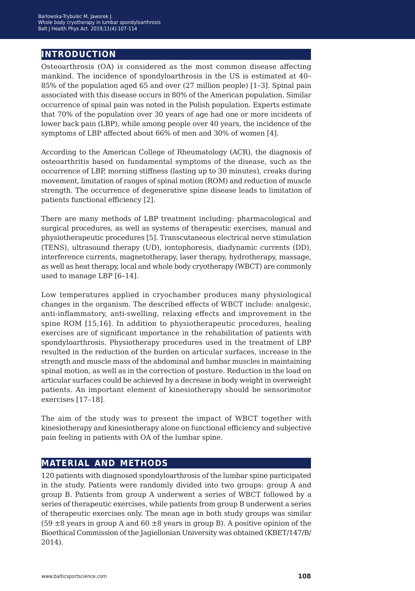# **introduction**

Osteoarthrosis (OA) is considered as the most common disease affecting mankind. The incidence of spondyloarthrosis in the US is estimated at 40– 85% of the population aged 65 and over (27 million people) [1–3]. Spinal pain associated with this disease occurs in 80% of the American population. Similar occurrence of spinal pain was noted in the Polish population. Experts estimate that 70% of the population over 30 years of age had one or more incidents of lower back pain (LBP), while among people over 40 years, the incidence of the symptoms of LBP affected about 66% of men and 30% of women [4].

According to the American College of Rheumatology (ACR), the diagnosis of osteoarthritis based on fundamental symptoms of the disease, such as the occurrence of LBP, morning stiffness (lasting up to 30 minutes), creaks during movement, limitation of ranges of spinal motion (ROM) and reduction of muscle strength. The occurrence of degenerative spine disease leads to limitation of patients functional efficiency [2].

There are many methods of LBP treatment including: pharmacological and surgical procedures, as well as systems of therapeutic exercises, manual and physiotherapeutic procedures [5]. Transcutaneous electrical nerve stimulation (TENS), ultrasound therapy (UD), iontophoresis, diadynamic currents (DD), interference currents, magnetotherapy, laser therapy, hydrotherapy, massage, as well as heat therapy, local and whole body cryotherapy (WBCT) are commonly used to manage LBP [6–14].

Low temperatures applied in cryochamber produces many physiological changes in the organism. The described effects of WBCT include: analgesic, anti-inflammatory, anti-swelling, relaxing effects and improvement in the spine ROM [15,16]. In addition to physiotherapeutic procedures, healing exercises are of significant importance in the rehabilitation of patients with spondyloarthrosis. Physiotherapy procedures used in the treatment of LBP resulted in the reduction of the burden on articular surfaces, increase in the strength and muscle mass of the abdominal and lumbar muscles in maintaining spinal motion, as well as in the correction of posture. Reduction in the load on articular surfaces could be achieved by a decrease in body weight in overweight patients. An important element of kinesiotherapy should be sensorimotor exercises [17–18].

The aim of the study was to present the impact of WBCT together with kinesiotherapy and kinesiotherapy alone on functional efficiency and subjective pain feeling in patients with OA of the lumbar spine.

### **material and methods**

120 patients with diagnosed spondyloarthrosis of the lumbar spine participated in the study. Patients were randomly divided into two groups: group A and group B. Patients from group A underwent a series of WBCT followed by a series of therapeutic exercises, while patients from group B underwent a series of therapeutic exercises only. The mean age in both study groups was similar (59  $\pm$ 8 years in group A and 60  $\pm$ 8 years in group B). A positive opinion of the Bioethical Commission of the Jagiellonian University was obtained (KBET/147/B/ 2014).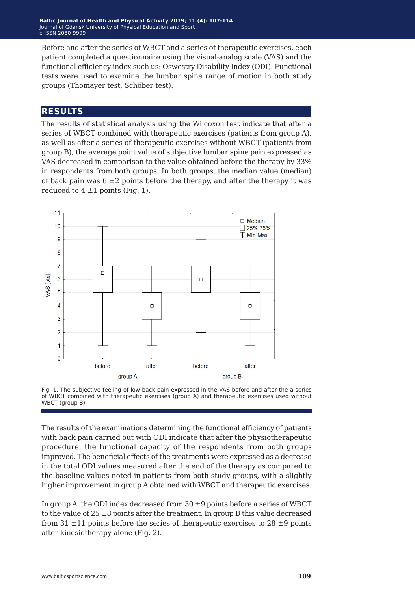Before and after the series of WBCT and a series of therapeutic exercises, each patient completed a questionnaire using the visual-analog scale (VAS) and the functional efficiency index such us: Oswestry Disability Index (ODI). Functional tests were used to examine the lumbar spine range of motion in both study groups (Thomayer test, Schöber test).

### **results**

The results of statistical analysis using the Wilcoxon test indicate that after a series of WBCT combined with therapeutic exercises (patients from group A), as well as after a series of therapeutic exercises without WBCT (patients from group B), the average point value of subjective lumbar spine pain expressed as VAS decreased in comparison to the value obtained before the therapy by 33% in respondents from both groups. In both groups, the median value (median) of back pain was  $6 \pm 2$  points before the therapy, and after the therapy it was reduced to  $4 \pm 1$  points (Fig. 1).



Fig. 1. The subjective feeling of low back pain expressed in the VAS before and after the a series of WBCT combined with therapeutic exercises (group A) and therapeutic exercises used without WBCT (group B)

The results of the examinations determining the functional efficiency of patients with back pain carried out with ODI indicate that after the physiotherapeutic procedure, the functional capacity of the respondents from both groups improved. The beneficial effects of the treatments were expressed as a decrease in the total ODI values measured after the end of the therapy as compared to the baseline values noted in patients from both study groups, with a slightly higher improvement in group A obtained with WBCT and therapeutic exercises.

In group A, the ODI index decreased from 30 ±9 points before a series of WBCT to the value of  $25 \pm 8$  points after the treatment. In group B this value decreased from 31  $\pm$ 11 points before the series of therapeutic exercises to 28  $\pm$ 9 points after kinesiotherapy alone (Fig. 2).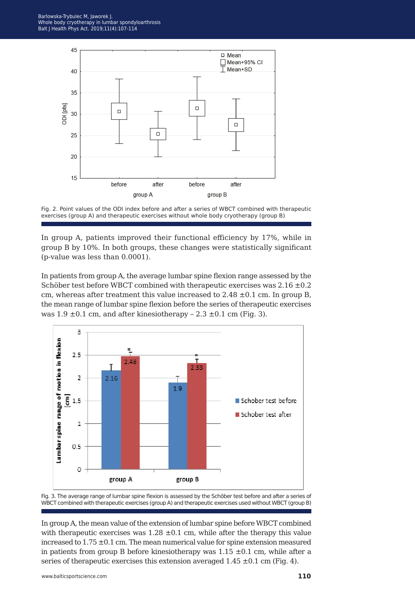



In group A, patients improved their functional efficiency by 17%, while in group B by 10%. In both groups, these changes were statistically significant (p-value was less than 0.0001).

In patients from group A, the average lumbar spine flexion range assessed by the Schöber test before WBCT combined with therapeutic exercises was  $2.16 \pm 0.2$ cm, whereas after treatment this value increased to  $2.48 \pm 0.1$  cm. In group B, the mean range of lumbar spine flexion before the series of therapeutic exercises was  $1.9 \pm 0.1$  cm, and after kinesiotherapy  $-2.3 \pm 0.1$  cm (Fig. 3).





In group A, the mean value of the extension of lumbar spine before WBCT combined with therapeutic exercises was  $1.28 \pm 0.1$  cm, while after the therapy this value increased to  $1.75 \pm 0.1$  cm. The mean numerical value for spine extension measured in patients from group B before kinesiotherapy was  $1.15 \pm 0.1$  cm, while after a series of therapeutic exercises this extension averaged  $1.45 \pm 0.1$  cm (Fig. 4).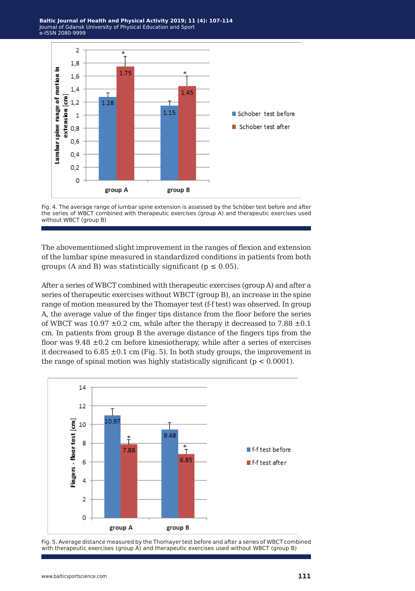

Fig. 4. The average range of lumbar spine extension is assessed by the Schöber test before and after the series of WBCT combined with therapeutic exercises (group A) and therapeutic exercises used without WBCT (group B)

The abovementioned slight improvement in the ranges of flexion and extension of the lumbar spine measured in standardized conditions in patients from both groups (A and B) was statistically significant ( $p \le 0.05$ ).

After a series of WBCT combined with therapeutic exercises (group A) and after a series of therapeutic exercises without WBCT (group B), an increase in the spine range of motion measured by the Thomayer test (f-f test) was observed. In group A, the average value of the finger tips distance from the floor before the series of WBCT was  $10.97 \pm 0.2$  cm, while after the therapy it decreased to 7.88  $\pm 0.1$ cm. In patients from group B the average distance of the fingers tips from the floor was  $9.48 \pm 0.2$  cm before kinesiotherapy, while after a series of exercises it decreased to  $6.85 \pm 0.1$  cm (Fig. 5). In both study groups, the improvement in the range of spinal motion was highly statistically significant ( $p < 0.0001$ ).



Fig. 5. Average distance measured by the Thomayer test before and after a series of WBCT combined with therapeutic exercises (group A) and therapeutic exercises used without WBCT (group B)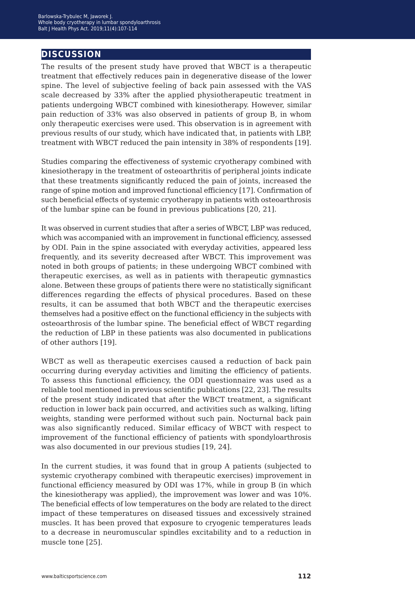# **discussion**

The results of the present study have proved that WBCT is a therapeutic treatment that effectively reduces pain in degenerative disease of the lower spine. The level of subjective feeling of back pain assessed with the VAS scale decreased by 33% after the applied physiotherapeutic treatment in patients undergoing WBCT combined with kinesiotherapy. However, similar pain reduction of 33% was also observed in patients of group B, in whom only therapeutic exercises were used. This observation is in agreement with previous results of our study, which have indicated that, in patients with LBP, treatment with WBCT reduced the pain intensity in 38% of respondents [19].

Studies comparing the effectiveness of systemic cryotherapy combined with kinesiotherapy in the treatment of osteoarthritis of peripheral joints indicate that these treatments significantly reduced the pain of joints, increased the range of spine motion and improved functional efficiency [17]. Confirmation of such beneficial effects of systemic cryotherapy in patients with osteoarthrosis of the lumbar spine can be found in previous publications [20, 21].

It was observed in current studies that after a series of WBCT, LBP was reduced, which was accompanied with an improvement in functional efficiency, assessed by ODI. Pain in the spine associated with everyday activities, appeared less frequently, and its severity decreased after WBCT. This improvement was noted in both groups of patients; in these undergoing WBCT combined with therapeutic exercises, as well as in patients with therapeutic gymnastics alone. Between these groups of patients there were no statistically significant differences regarding the effects of physical procedures. Based on these results, it can be assumed that both WBCT and the therapeutic exercises themselves had a positive effect on the functional efficiency in the subjects with osteoarthrosis of the lumbar spine. The beneficial effect of WBCT regarding the reduction of LBP in these patients was also documented in publications of other authors [19].

WBCT as well as therapeutic exercises caused a reduction of back pain occurring during everyday activities and limiting the efficiency of patients. To assess this functional efficiency, the ODI questionnaire was used as a reliable tool mentioned in previous scientific publications [22, 23]. The results of the present study indicated that after the WBCT treatment, a significant reduction in lower back pain occurred, and activities such as walking, lifting weights, standing were performed without such pain. Nocturnal back pain was also significantly reduced. Similar efficacy of WBCT with respect to improvement of the functional efficiency of patients with spondyloarthrosis was also documented in our previous studies [19, 24].

In the current studies, it was found that in group A patients (subjected to systemic cryotherapy combined with therapeutic exercises) improvement in functional efficiency measured by ODI was 17%, while in group B (in which the kinesiotherapy was applied), the improvement was lower and was 10%. The beneficial effects of low temperatures on the body are related to the direct impact of these temperatures on diseased tissues and excessively strained muscles. It has been proved that exposure to cryogenic temperatures leads to a decrease in neuromuscular spindles excitability and to a reduction in muscle tone [25].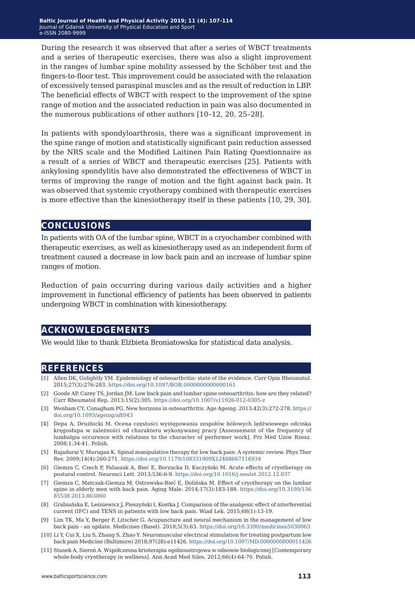During the research it was observed that after a series of WBCT treatments and a series of therapeutic exercises, there was also a slight improvement in the ranges of lumbar spine mobility assessed by the Schöber test and the fingers-to-floor test. This improvement could be associated with the relaxation of excessively tensed paraspinal muscles and as the result of reduction in LBP. The beneficial effects of WBCT with respect to the improvement of the spine range of motion and the associated reduction in pain was also documented in the numerous publications of other authors [10–12, 20, 25–28].

In patients with spondyloarthrosis, there was a significant improvement in the spine range of motion and statistically significant pain reduction assessed by the NRS scale and the Modified Laitinen Pain Rating Questionnaire as a result of a series of WBCT and therapeutic exercises [25]. Patients with ankylosing spondylitis have also demonstrated the effectiveness of WBCT in terms of improving the range of motion and the fight against back pain. It was observed that systemic cryotherapy combined with therapeutic exercises is more effective than the kinesiotherapy itself in these patients [10, 29, 30].

#### **conclusions**

In patients with OA of the lumbar spine, WBCT in a cryochamber combined with therapeutic exercises, as well as kinesiotherapy used as an independent form of treatment caused a decrease in low back pain and an increase of lumbar spine ranges of motion.

Reduction of pain occurring during various daily activities and a higher improvement in functional efficiency of patients has been observed in patients undergoing WBCT in combination with kinesiotherapy.

### **acknowledgements**

We would like to thank Elżbieta Broniatowska for statistical data analysis.

#### **references**

- [1] Allen DK, Golightly YM. Epidemiology of osteoarthritis: state of the evidence. Curr Opin Rheumatol. 2015;27(3):276-283.<https://doi.org/10.1097/BOR.0000000000000161>
- [2] Goode AP, Carey TS, Jordan JM. Low back pain and lumbar spine osteoarthritis: how are they related? Curr Rheumatol Rep. 2013;15(2):305.<https://doi.org/10.1007/s11926-012-0305-z>
- [3] Wenham CY, Conagham PG. New horizons in osteoarthritis. Age Ageing. 2013;42(3):272-278. [https://](https://doi.org/10.1093/ageing/aft043
) [doi.org/10.1093/ageing/aft043](https://doi.org/10.1093/ageing/aft043
)
- [4] Depa A, Drużbicki M. Ocena częstości występowania zespołów bólowych lędźwiowego odcinka kręgosłupa w zależności od charakteru wykonywanej pracy [Assessement of the frequency of lumbalgia occurence with relations to the character of performer work]. Prz Med Uniw Rzesz. 2008;1:34-41. Polish.
- [5] Rajadurai V, Murugan K. Spinal manipulative therapy for low back pain: A systemic review. Phys Ther Rev. 2009;14(4):260-271.<https://doi.org/10.1179/108331909X12488667116934>
- [6] Giemza C, Czech P, Paluszak A, Bieć E, Borzucka D, Kuczyński M. Acute effects of cryotherapy on postural control. Neurosci Lett. 2013;536:6-9.<https://doi.org/10.1016/j.neulet.2012.12.037>
- [7] Giemza C, Matczak-Giemza M, Ostrowska-Bieć E, Dolińska M. Effect of cryotherapy on the lumbar spine in elderly men with back pain. Aging Male. 2014;17(3):183-188. [https://doi.org/10.3109/136](https://doi.org/10.3109/13685538.2013.863860
) [85538.2013.863860](https://doi.org/10.3109/13685538.2013.863860
)
- [8] Grabiańska E, Leśniewicz J, Pieszyński I, Kostka J. Comparison of the analgesic effect of interferential current (IFC) and TENS in patients with low back pain. Wiad Lek. 2015;68(1):13-19.
- [9] Lim TK, Ma Y, Berger F, Litscher G. Acupuncture and neural mechanism in the management of low back pain - an update. Medicines (Basel). 2018;5(3):63. [https://doi.org/10.3390/medicines5030063](https://doi.org/10.3390/medicines5030063
)
- [10] Li Y, Cui X, Liu S, Zhang S, Zhao Y. Neuromuscular electrical stimulation for treating postpartum low back pain Medicine (Baltimore) 2018;97(28):e11426. [https://doi.org/10.1097/MD.0000000000011426](https://doi.org/10.1097/MD.0000000000011426
)
- [11] Stanek A, Sieroń A. Współczesna krioterapia ogólnoustrojowa w odnowie biologicznej [Contemporary whole-body cryotherapy in wellness]. Ann Acad Med Siles. 2012;66(4):64-70. Polish.